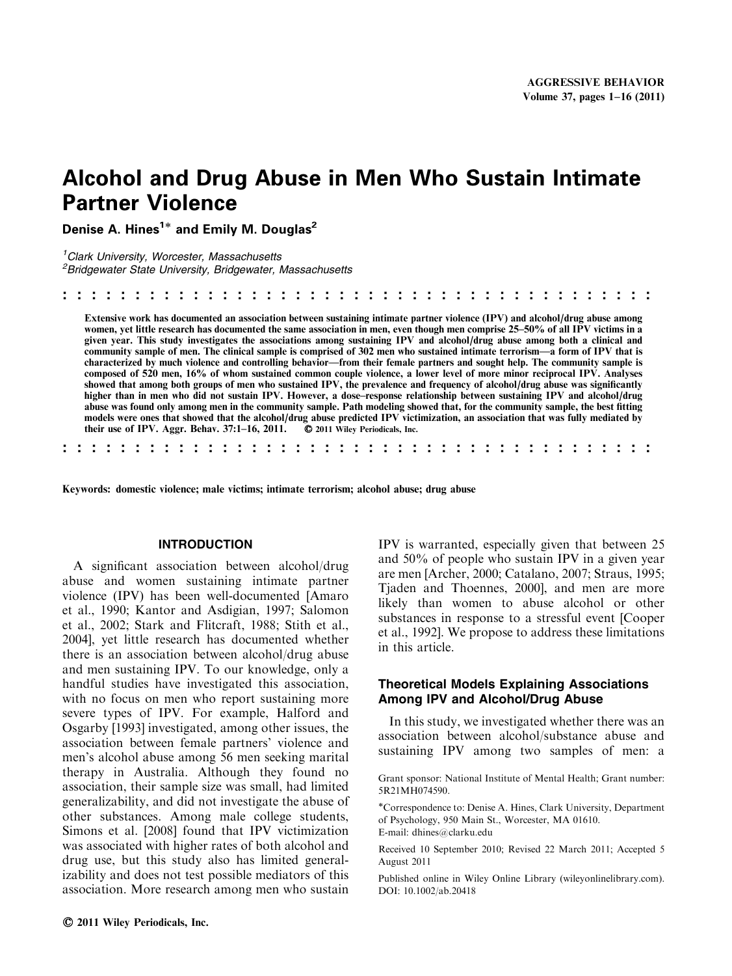# **Alcohol and Drug Abuse in Men Who Sustain Intimate Partner Violence**

**Denise A. Hines1**- **and Emily M. Douglas2**

1 Clark University, Worcester, Massachusetts <sup>2</sup>Bridgewater State University, Bridgewater, Massachusetts

Extensive work has documented an association between sustaining intimate partner violence (IPV) and alcohol/drug abuse among women, yet little research has documented the same association in men, even though men comprise 25–50% of all IPV victims in a given year. This study investigates the associations among sustaining IPV and alcohol/drug abuse among both a clinical and community sample of men. The clinical sample is comprised of 302 men who sustained intimate terrorism—a form of IPV that is characterized by much violence and controlling behavior—from their female partners and sought help. The community sample is composed of 520 men, 16% of whom sustained common couple violence, a lower level of more minor reciprocal IPV. Analyses showed that among both groups of men who sustained IPV, the prevalence and frequency of alcohol/drug abuse was significantly higher than in men who did not sustain IPV. However, a dose–response relationship between sustaining IPV and alcohol/drug abuse was found only among men in the community sample. Path modeling showed that, for the community sample, the best fitting models were ones that showed that the alcohol/drug abuse predicted IPV victimization, an association that was fully mediated by their use of IPV. Aggr. Behav. 37:1–16, 2011. © 2011 Wiley Periodicals, Inc. their use of IPV. Aggr. Behav.  $37:1-16$ ,  $2011$ .

::::::::::::: :::::::::::::::: ::::::::::::

Keywords: domestic violence; male victims; intimate terrorism; alcohol abuse; drug abuse

#### INTRODUCTION

A significant association between alcohol/drug abuse and women sustaining intimate partner violence (IPV) has been well-documented [Amaro et al., 1990; Kantor and Asdigian, 1997; Salomon et al., 2002; Stark and Flitcraft, 1988; Stith et al., 2004], yet little research has documented whether there is an association between alcohol/drug abuse and men sustaining IPV. To our knowledge, only a handful studies have investigated this association, with no focus on men who report sustaining more severe types of IPV. For example, Halford and Osgarby [1993] investigated, among other issues, the association between female partners' violence and men's alcohol abuse among 56 men seeking marital therapy in Australia. Although they found no association, their sample size was small, had limited generalizability, and did not investigate the abuse of other substances. Among male college students, Simons et al. [2008] found that IPV victimization was associated with higher rates of both alcohol and drug use, but this study also has limited generalizability and does not test possible mediators of this association. More research among men who sustain IPV is warranted, especially given that between 25 and 50% of people who sustain IPV in a given year are men [Archer, 2000; Catalano, 2007; Straus, 1995; Tjaden and Thoennes, 2000], and men are more likely than women to abuse alcohol or other substances in response to a stressful event [Cooper et al., 1992]. We propose to address these limitations in this article.

## Theoretical Models Explaining Associations Among IPV and Alcohol/Drug Abuse

In this study, we investigated whether there was an association between alcohol/substance abuse and sustaining IPV among two samples of men: a

Grant sponsor: National Institute of Mental Health; Grant number: 5R21MH074590.

-Correspondence to: Denise A. Hines, Clark University, Department of Psychology, 950 Main St., Worcester, MA 01610.

E-mail: dhines@clarku.edu

Received 10 September 2010; Revised 22 March 2011; Accepted 5 August 2011

Published online in Wiley Online Library (wileyonlinelibrary.com). DOI: 10.1002/ab.20418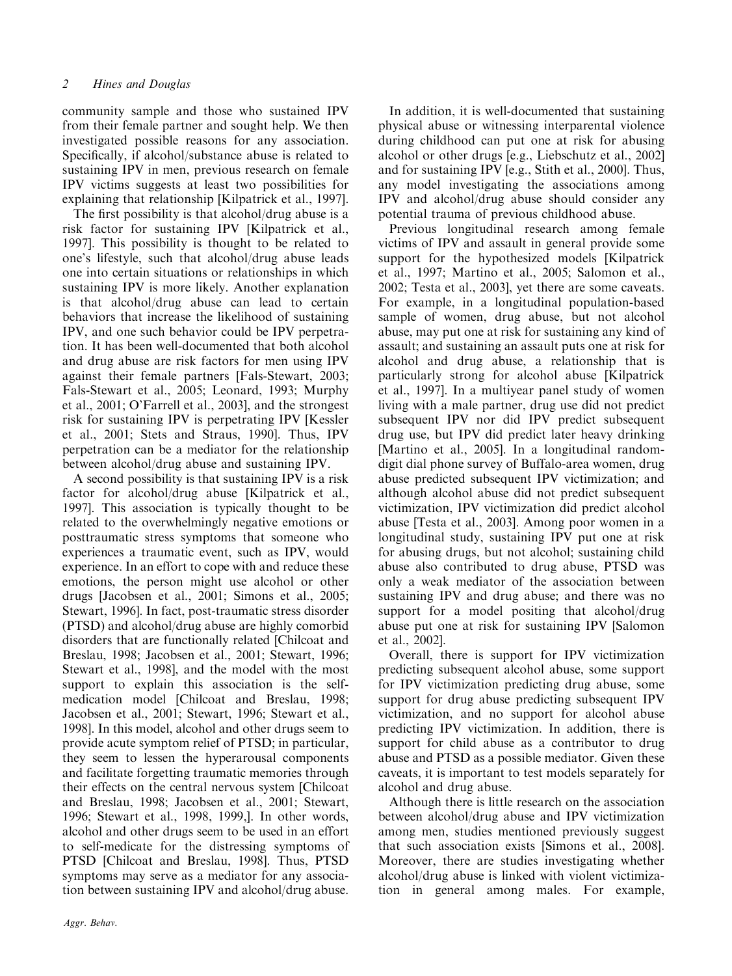community sample and those who sustained IPV from their female partner and sought help. We then investigated possible reasons for any association. Specifically, if alcohol/substance abuse is related to sustaining IPV in men, previous research on female IPV victims suggests at least two possibilities for explaining that relationship [Kilpatrick et al., 1997].

The first possibility is that alcohol/drug abuse is a risk factor for sustaining IPV [Kilpatrick et al., 1997]. This possibility is thought to be related to one's lifestyle, such that alcohol/drug abuse leads one into certain situations or relationships in which sustaining IPV is more likely. Another explanation is that alcohol/drug abuse can lead to certain behaviors that increase the likelihood of sustaining IPV, and one such behavior could be IPV perpetration. It has been well-documented that both alcohol and drug abuse are risk factors for men using IPV against their female partners [Fals-Stewart, 2003; Fals-Stewart et al., 2005; Leonard, 1993; Murphy et al., 2001; O'Farrell et al., 2003], and the strongest risk for sustaining IPV is perpetrating IPV [Kessler et al., 2001; Stets and Straus, 1990]. Thus, IPV perpetration can be a mediator for the relationship between alcohol/drug abuse and sustaining IPV.

A second possibility is that sustaining IPV is a risk factor for alcohol/drug abuse [Kilpatrick et al., 1997]. This association is typically thought to be related to the overwhelmingly negative emotions or posttraumatic stress symptoms that someone who experiences a traumatic event, such as IPV, would experience. In an effort to cope with and reduce these emotions, the person might use alcohol or other drugs [Jacobsen et al., 2001; Simons et al., 2005; Stewart, 1996]. In fact, post-traumatic stress disorder (PTSD) and alcohol/drug abuse are highly comorbid disorders that are functionally related [Chilcoat and Breslau, 1998; Jacobsen et al., 2001; Stewart, 1996; Stewart et al., 1998], and the model with the most support to explain this association is the selfmedication model [Chilcoat and Breslau, 1998; Jacobsen et al., 2001; Stewart, 1996; Stewart et al., 1998]. In this model, alcohol and other drugs seem to provide acute symptom relief of PTSD; in particular, they seem to lessen the hyperarousal components and facilitate forgetting traumatic memories through their effects on the central nervous system [Chilcoat and Breslau, 1998; Jacobsen et al., 2001; Stewart, 1996; Stewart et al., 1998, 1999,]. In other words, alcohol and other drugs seem to be used in an effort to self-medicate for the distressing symptoms of PTSD [Chilcoat and Breslau, 1998]. Thus, PTSD symptoms may serve as a mediator for any association between sustaining IPV and alcohol/drug abuse.

In addition, it is well-documented that sustaining physical abuse or witnessing interparental violence during childhood can put one at risk for abusing alcohol or other drugs [e.g., Liebschutz et al., 2002] and for sustaining IPV [e.g., Stith et al., 2000]. Thus, any model investigating the associations among IPV and alcohol/drug abuse should consider any potential trauma of previous childhood abuse.

Previous longitudinal research among female victims of IPV and assault in general provide some support for the hypothesized models [Kilpatrick et al., 1997; Martino et al., 2005; Salomon et al., 2002; Testa et al., 2003], yet there are some caveats. For example, in a longitudinal population-based sample of women, drug abuse, but not alcohol abuse, may put one at risk for sustaining any kind of assault; and sustaining an assault puts one at risk for alcohol and drug abuse, a relationship that is particularly strong for alcohol abuse [Kilpatrick et al., 1997]. In a multiyear panel study of women living with a male partner, drug use did not predict subsequent IPV nor did IPV predict subsequent drug use, but IPV did predict later heavy drinking [Martino et al., 2005]. In a longitudinal randomdigit dial phone survey of Buffalo-area women, drug abuse predicted subsequent IPV victimization; and although alcohol abuse did not predict subsequent victimization, IPV victimization did predict alcohol abuse [Testa et al., 2003]. Among poor women in a longitudinal study, sustaining IPV put one at risk for abusing drugs, but not alcohol; sustaining child abuse also contributed to drug abuse, PTSD was only a weak mediator of the association between sustaining IPV and drug abuse; and there was no support for a model positing that alcohol/drug abuse put one at risk for sustaining IPV [Salomon et al., 2002].

Overall, there is support for IPV victimization predicting subsequent alcohol abuse, some support for IPV victimization predicting drug abuse, some support for drug abuse predicting subsequent IPV victimization, and no support for alcohol abuse predicting IPV victimization. In addition, there is support for child abuse as a contributor to drug abuse and PTSD as a possible mediator. Given these caveats, it is important to test models separately for alcohol and drug abuse.

Although there is little research on the association between alcohol/drug abuse and IPV victimization among men, studies mentioned previously suggest that such association exists [Simons et al., 2008]. Moreover, there are studies investigating whether alcohol/drug abuse is linked with violent victimization in general among males. For example,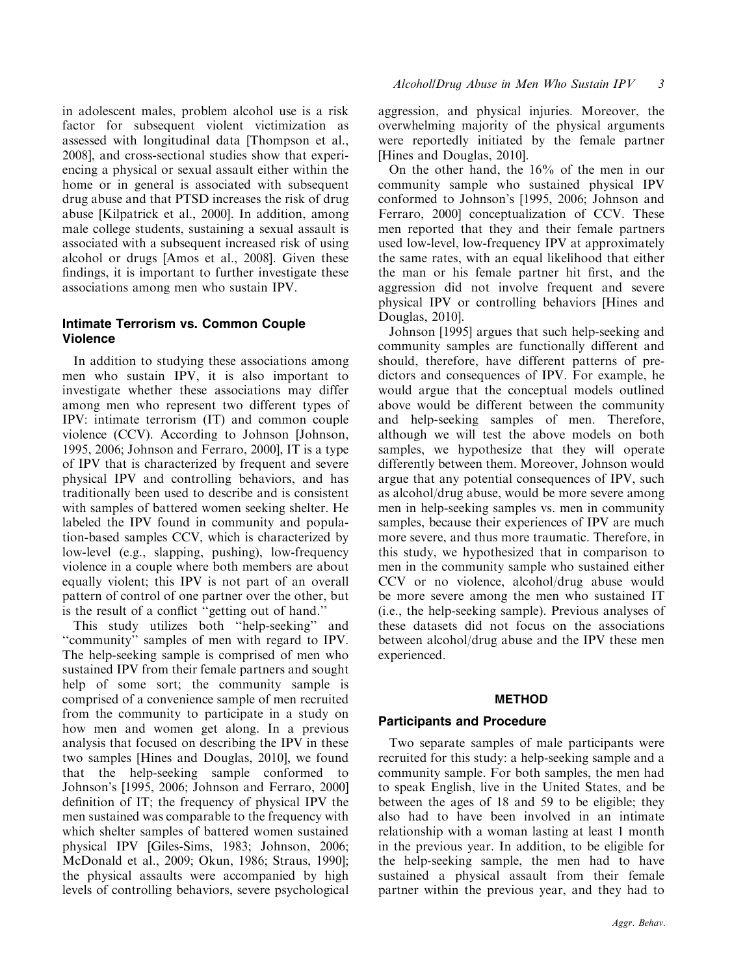in adolescent males, problem alcohol use is a risk factor for subsequent violent victimization as assessed with longitudinal data [Thompson et al., 2008], and cross-sectional studies show that experiencing a physical or sexual assault either within the home or in general is associated with subsequent drug abuse and that PTSD increases the risk of drug abuse [Kilpatrick et al., 2000]. In addition, among male college students, sustaining a sexual assault is associated with a subsequent increased risk of using alcohol or drugs [Amos et al., 2008]. Given these findings, it is important to further investigate these associations among men who sustain IPV.

# Intimate Terrorism vs. Common Couple Violence

In addition to studying these associations among men who sustain IPV, it is also important to investigate whether these associations may differ among men who represent two different types of IPV: intimate terrorism (IT) and common couple violence (CCV). According to Johnson [Johnson, 1995, 2006; Johnson and Ferraro, 2000], IT is a type of IPV that is characterized by frequent and severe physical IPV and controlling behaviors, and has traditionally been used to describe and is consistent with samples of battered women seeking shelter. He labeled the IPV found in community and population-based samples CCV, which is characterized by low-level (e.g., slapping, pushing), low-frequency violence in a couple where both members are about equally violent; this IPV is not part of an overall pattern of control of one partner over the other, but is the result of a conflict ''getting out of hand.''

This study utilizes both ''help-seeking'' and ''community'' samples of men with regard to IPV. The help-seeking sample is comprised of men who sustained IPV from their female partners and sought help of some sort; the community sample is comprised of a convenience sample of men recruited from the community to participate in a study on how men and women get along. In a previous analysis that focused on describing the IPV in these two samples [Hines and Douglas, 2010], we found that the help-seeking sample conformed to Johnson's [1995, 2006; Johnson and Ferraro, 2000] definition of IT; the frequency of physical IPV the men sustained was comparable to the frequency with which shelter samples of battered women sustained physical IPV [Giles-Sims, 1983; Johnson, 2006; McDonald et al., 2009; Okun, 1986; Straus, 1990]; the physical assaults were accompanied by high levels of controlling behaviors, severe psychological aggression, and physical injuries. Moreover, the overwhelming majority of the physical arguments were reportedly initiated by the female partner [Hines and Douglas, 2010].

On the other hand, the 16% of the men in our community sample who sustained physical IPV conformed to Johnson's [1995, 2006; Johnson and Ferraro, 2000] conceptualization of CCV. These men reported that they and their female partners used low-level, low-frequency IPV at approximately the same rates, with an equal likelihood that either the man or his female partner hit first, and the aggression did not involve frequent and severe physical IPV or controlling behaviors [Hines and Douglas, 2010].

Johnson [1995] argues that such help-seeking and community samples are functionally different and should, therefore, have different patterns of predictors and consequences of IPV. For example, he would argue that the conceptual models outlined above would be different between the community and help-seeking samples of men. Therefore, although we will test the above models on both samples, we hypothesize that they will operate differently between them. Moreover, Johnson would argue that any potential consequences of IPV, such as alcohol/drug abuse, would be more severe among men in help-seeking samples vs. men in community samples, because their experiences of IPV are much more severe, and thus more traumatic. Therefore, in this study, we hypothesized that in comparison to men in the community sample who sustained either CCV or no violence, alcohol/drug abuse would be more severe among the men who sustained IT (i.e., the help-seeking sample). Previous analyses of these datasets did not focus on the associations between alcohol/drug abuse and the IPV these men experienced.

#### METHOD

# Participants and Procedure

Two separate samples of male participants were recruited for this study: a help-seeking sample and a community sample. For both samples, the men had to speak English, live in the United States, and be between the ages of 18 and 59 to be eligible; they also had to have been involved in an intimate relationship with a woman lasting at least 1 month in the previous year. In addition, to be eligible for the help-seeking sample, the men had to have sustained a physical assault from their female partner within the previous year, and they had to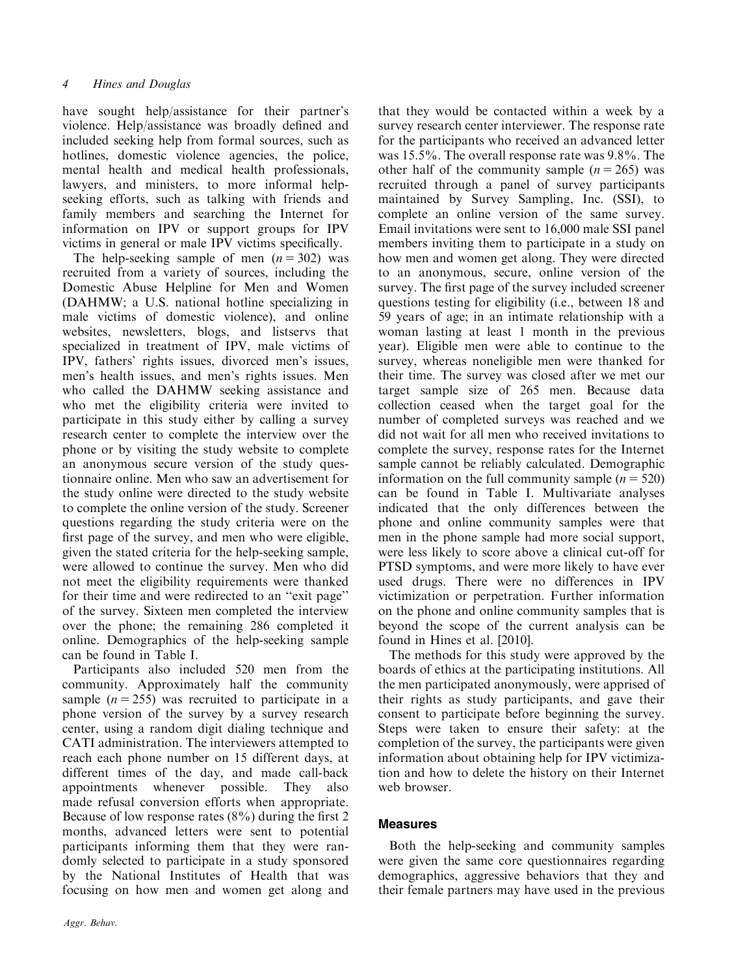have sought help/assistance for their partner's violence. Help/assistance was broadly defined and included seeking help from formal sources, such as hotlines, domestic violence agencies, the police, mental health and medical health professionals, lawyers, and ministers, to more informal helpseeking efforts, such as talking with friends and family members and searching the Internet for information on IPV or support groups for IPV victims in general or male IPV victims specifically.

The help-seeking sample of men  $(n = 302)$  was recruited from a variety of sources, including the Domestic Abuse Helpline for Men and Women (DAHMW; a U.S. national hotline specializing in male victims of domestic violence), and online websites, newsletters, blogs, and listservs that specialized in treatment of IPV, male victims of IPV, fathers' rights issues, divorced men's issues, men's health issues, and men's rights issues. Men who called the DAHMW seeking assistance and who met the eligibility criteria were invited to participate in this study either by calling a survey research center to complete the interview over the phone or by visiting the study website to complete an anonymous secure version of the study questionnaire online. Men who saw an advertisement for the study online were directed to the study website to complete the online version of the study. Screener questions regarding the study criteria were on the first page of the survey, and men who were eligible, given the stated criteria for the help-seeking sample, were allowed to continue the survey. Men who did not meet the eligibility requirements were thanked for their time and were redirected to an ''exit page'' of the survey. Sixteen men completed the interview over the phone; the remaining 286 completed it online. Demographics of the help-seeking sample can be found in Table I.

Participants also included 520 men from the community. Approximately half the community sample  $(n = 255)$  was recruited to participate in a phone version of the survey by a survey research center, using a random digit dialing technique and CATI administration. The interviewers attempted to reach each phone number on 15 different days, at different times of the day, and made call-back appointments whenever possible. They also made refusal conversion efforts when appropriate. Because of low response rates (8%) during the first 2 months, advanced letters were sent to potential participants informing them that they were randomly selected to participate in a study sponsored by the National Institutes of Health that was focusing on how men and women get along and that they would be contacted within a week by a survey research center interviewer. The response rate for the participants who received an advanced letter was 15.5%. The overall response rate was 9.8%. The other half of the community sample  $(n = 265)$  was recruited through a panel of survey participants maintained by Survey Sampling, Inc. (SSI), to complete an online version of the same survey. Email invitations were sent to 16,000 male SSI panel members inviting them to participate in a study on how men and women get along. They were directed to an anonymous, secure, online version of the survey. The first page of the survey included screener questions testing for eligibility (i.e., between 18 and 59 years of age; in an intimate relationship with a woman lasting at least 1 month in the previous year). Eligible men were able to continue to the survey, whereas noneligible men were thanked for their time. The survey was closed after we met our target sample size of 265 men. Because data collection ceased when the target goal for the number of completed surveys was reached and we did not wait for all men who received invitations to complete the survey, response rates for the Internet sample cannot be reliably calculated. Demographic information on the full community sample  $(n = 520)$ can be found in Table I. Multivariate analyses indicated that the only differences between the phone and online community samples were that men in the phone sample had more social support, were less likely to score above a clinical cut-off for PTSD symptoms, and were more likely to have ever used drugs. There were no differences in IPV victimization or perpetration. Further information on the phone and online community samples that is beyond the scope of the current analysis can be found in Hines et al. [2010].

The methods for this study were approved by the boards of ethics at the participating institutions. All the men participated anonymously, were apprised of their rights as study participants, and gave their consent to participate before beginning the survey. Steps were taken to ensure their safety: at the completion of the survey, the participants were given information about obtaining help for IPV victimization and how to delete the history on their Internet web browser.

# Measures

Both the help-seeking and community samples were given the same core questionnaires regarding demographics, aggressive behaviors that they and their female partners may have used in the previous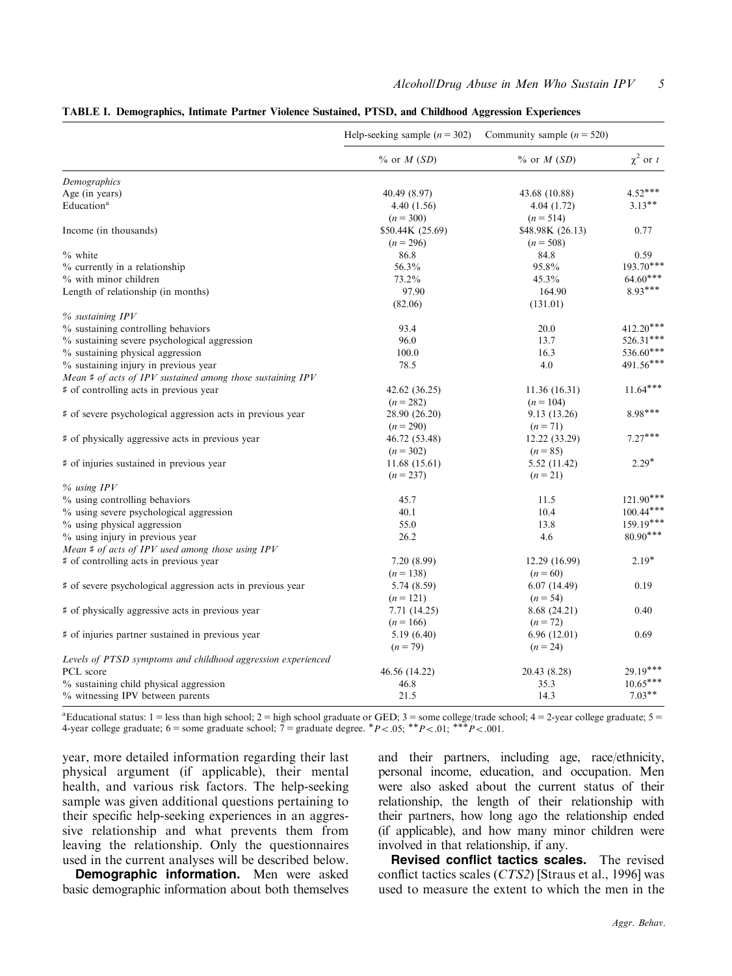|                                                              | Help-seeking sample $(n = 302)$ | Community sample $(n = 520)$ |               |
|--------------------------------------------------------------|---------------------------------|------------------------------|---------------|
|                                                              | $\%$ or M (SD)                  | $%$ or $M(SD)$               | $\chi^2$ or t |
| Demographics                                                 |                                 |                              |               |
| Age (in years)                                               | 40.49 (8.97)                    | 43.68 (10.88)                | $4.52***$     |
| Education <sup>a</sup>                                       | 4.40 (1.56)                     | 4.04(1.72)                   | $3.13***$     |
|                                                              | $(n = 300)$                     | $(n = 514)$                  |               |
| Income (in thousands)                                        | \$50.44K (25.69)                | \$48.98K (26.13)             | 0.77          |
|                                                              | $(n = 296)$                     | $(n = 508)$                  |               |
| $%$ white                                                    | 86.8                            | 84.8                         | 0.59          |
| % currently in a relationship                                | 56.3%                           | 95.8%                        | $193.70***$   |
| % with minor children                                        | 73.2%                           | 45.3%                        | $64.60***$    |
| Length of relationship (in months)                           | 97.90                           | 164.90                       | $8.93***$     |
|                                                              | (82.06)                         | (131.01)                     |               |
| $%$ sustaining $IPV$                                         |                                 |                              |               |
| % sustaining controlling behaviors                           | 93.4                            | 20.0                         | $412.20***$   |
| % sustaining severe psychological aggression                 | 96.0                            | 13.7                         | $526.31***$   |
| % sustaining physical aggression                             | 100.0                           | 16.3                         | 536.60***     |
| % sustaining injury in previous year                         | 78.5                            | 4.0                          | 491.56***     |
| Mean # of acts of IPV sustained among those sustaining IPV   |                                 |                              |               |
| # of controlling acts in previous year                       | 42.62 (36.25)                   | 11.36(16.31)                 | $11.64***$    |
|                                                              | $(n = 282)$                     | $(n = 104)$                  |               |
| # of severe psychological aggression acts in previous year   | 28.90 (26.20)                   | 9.13 (13.26)                 | $8.98***$     |
|                                                              | $(n = 290)$                     | $(n = 71)$                   |               |
| # of physically aggressive acts in previous year             | 46.72 (53.48)                   | 12.22 (33.29)                | $7.27***$     |
|                                                              | $(n = 302)$                     | $(n = 85)$                   |               |
| # of injuries sustained in previous year                     | 11.68(15.61)                    | 5.52 (11.42)                 | $2.29*$       |
|                                                              |                                 |                              |               |
|                                                              | $(n = 237)$                     | $(n=21)$                     |               |
| $%$ using IPV                                                |                                 |                              | $121.90***$   |
| % using controlling behaviors                                | 45.7                            | 11.5<br>10.4                 | $100.44***$   |
| % using severe psychological aggression                      | 40.1                            |                              | $159.19***$   |
| % using physical aggression                                  | 55.0                            | 13.8                         |               |
| % using injury in previous year                              | 26.2                            | 4.6                          | $80.90***$    |
| Mean # of acts of IPV used among those using IPV             |                                 |                              |               |
| # of controlling acts in previous year                       | 7.20 (8.99)                     | 12.29 (16.99)                | $2.19*$       |
|                                                              | $(n = 138)$                     | $(n = 60)$                   |               |
| # of severe psychological aggression acts in previous year   | 5.74 (8.59)                     | 6.07(14.49)                  | 0.19          |
|                                                              | $(n = 121)$                     | $(n = 54)$                   |               |
| # of physically aggressive acts in previous year             | 7.71 (14.25)                    | 8.68 (24.21)                 | 0.40          |
|                                                              | $(n = 166)$                     | $(n = 72)$                   |               |
| # of injuries partner sustained in previous year             | 5.19(6.40)                      | 6.96(12.01)                  | 0.69          |
|                                                              | $(n=79)$                        | $(n = 24)$                   |               |
| Levels of PTSD symptoms and childhood aggression experienced |                                 |                              |               |
| PCL score                                                    | 46.56 (14.22)                   | 20.43 (8.28)                 | $29.19***$    |
| % sustaining child physical aggression                       | 46.8                            | 35.3                         | $10.65***$    |
| % witnessing IPV between parents                             | 21.5                            | 14.3                         | $7.03**$      |

|  |  | TABLE I. Demographics, Intimate Partner Violence Sustained, PTSD, and Childhood Aggression Experiences |  |  |  |  |  |
|--|--|--------------------------------------------------------------------------------------------------------|--|--|--|--|--|
|--|--|--------------------------------------------------------------------------------------------------------|--|--|--|--|--|

<sup>a</sup> Educational status: 1 = less than high school; 2 = high school graduate or GED; 3 = some college/trade school; 4 = 2-year college graduate; 5 = 4-year college graduate;  $6 =$  some graduate school;  $7 =$  graduate degree.  $^{*}P < .05$ ;  $^{*}P < .01$ ;  $^{*}P < .001$ .

year, more detailed information regarding their last physical argument (if applicable), their mental health, and various risk factors. The help-seeking sample was given additional questions pertaining to their specific help-seeking experiences in an aggressive relationship and what prevents them from leaving the relationship. Only the questionnaires used in the current analyses will be described below.

Demographic information. Men were asked basic demographic information about both themselves and their partners, including age, race/ethnicity, personal income, education, and occupation. Men were also asked about the current status of their relationship, the length of their relationship with their partners, how long ago the relationship ended (if applicable), and how many minor children were involved in that relationship, if any.

Revised conflict tactics scales. The revised conflict tactics scales (CTS2) [Straus et al., 1996] was used to measure the extent to which the men in the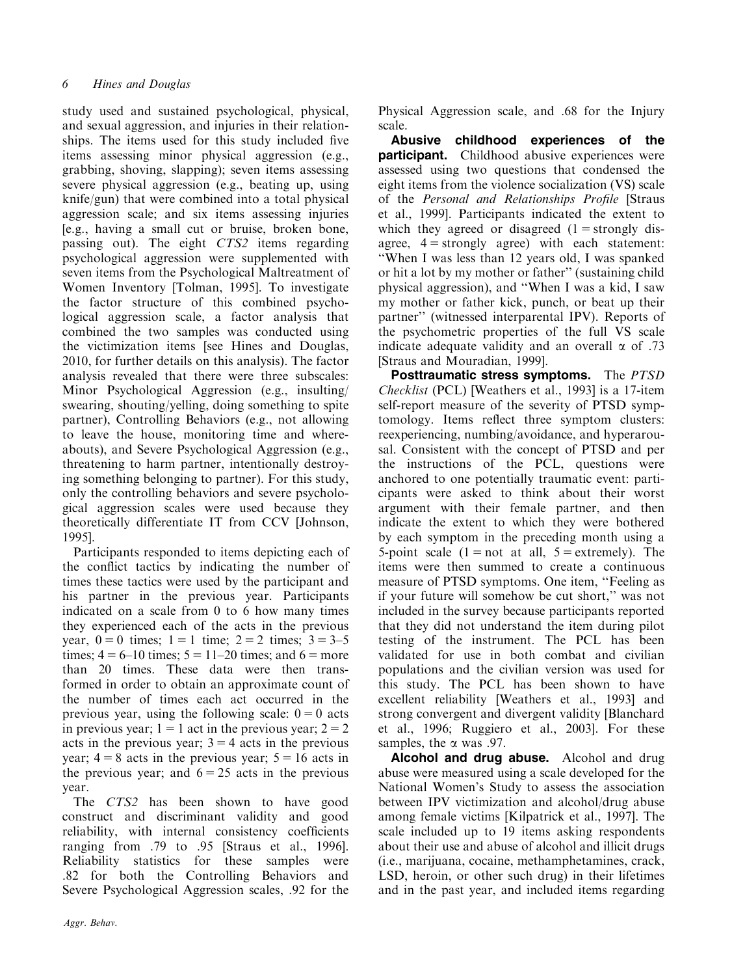study used and sustained psychological, physical, and sexual aggression, and injuries in their relationships. The items used for this study included five items assessing minor physical aggression (e.g., grabbing, shoving, slapping); seven items assessing severe physical aggression (e.g., beating up, using knife/gun) that were combined into a total physical aggression scale; and six items assessing injuries [e.g., having a small cut or bruise, broken bone, passing out). The eight CTS2 items regarding psychological aggression were supplemented with seven items from the Psychological Maltreatment of Women Inventory [Tolman, 1995]. To investigate the factor structure of this combined psychological aggression scale, a factor analysis that combined the two samples was conducted using the victimization items [see Hines and Douglas, 2010, for further details on this analysis). The factor analysis revealed that there were three subscales: Minor Psychological Aggression (e.g., insulting/ swearing, shouting/yelling, doing something to spite partner), Controlling Behaviors (e.g., not allowing to leave the house, monitoring time and whereabouts), and Severe Psychological Aggression (e.g., threatening to harm partner, intentionally destroying something belonging to partner). For this study, only the controlling behaviors and severe psychological aggression scales were used because they theoretically differentiate IT from CCV [Johnson, 1995].

Participants responded to items depicting each of the conflict tactics by indicating the number of times these tactics were used by the participant and his partner in the previous year. Participants indicated on a scale from 0 to 6 how many times they experienced each of the acts in the previous year,  $0 = 0$  times;  $1 = 1$  time;  $2 = 2$  times;  $3 = 3-5$ times;  $4 = 6{\text -}10$  times;  $5 = 11{\text -}20$  times; and  $6 =$  more than 20 times. These data were then transformed in order to obtain an approximate count of the number of times each act occurred in the previous year, using the following scale:  $0 = 0$  acts in previous year;  $1 = 1$  act in the previous year;  $2 = 2$ acts in the previous year;  $3 = 4$  acts in the previous year;  $4 = 8$  acts in the previous year;  $5 = 16$  acts in the previous year; and  $6 = 25$  acts in the previous year.

The CTS2 has been shown to have good construct and discriminant validity and good reliability, with internal consistency coefficients ranging from .79 to .95 [Straus et al., 1996]. Reliability statistics for these samples were .82 for both the Controlling Behaviors and Severe Psychological Aggression scales, .92 for the

Physical Aggression scale, and .68 for the Injury scale.

Abusive childhood experiences of the participant. Childhood abusive experiences were assessed using two questions that condensed the eight items from the violence socialization (VS) scale of the Personal and Relationships Profile [Straus et al., 1999]. Participants indicated the extent to which they agreed or disagreed  $(1 =$  strongly disagree,  $4 =$ strongly agree) with each statement: ''When I was less than 12 years old, I was spanked or hit a lot by my mother or father'' (sustaining child physical aggression), and ''When I was a kid, I saw my mother or father kick, punch, or beat up their partner'' (witnessed interparental IPV). Reports of the psychometric properties of the full VS scale indicate adequate validity and an overall  $\alpha$  of .73 [Straus and Mouradian, 1999].

Posttraumatic stress symptoms. The PTSD Checklist (PCL) [Weathers et al., 1993] is a 17-item self-report measure of the severity of PTSD symptomology. Items reflect three symptom clusters: reexperiencing, numbing/avoidance, and hyperarousal. Consistent with the concept of PTSD and per the instructions of the PCL, questions were anchored to one potentially traumatic event: participants were asked to think about their worst argument with their female partner, and then indicate the extent to which they were bothered by each symptom in the preceding month using a 5-point scale  $(1 = not at all, 5 = extremely)$ . The items were then summed to create a continuous measure of PTSD symptoms. One item, ''Feeling as if your future will somehow be cut short,'' was not included in the survey because participants reported that they did not understand the item during pilot testing of the instrument. The PCL has been validated for use in both combat and civilian populations and the civilian version was used for this study. The PCL has been shown to have excellent reliability [Weathers et al., 1993] and strong convergent and divergent validity [Blanchard et al., 1996; Ruggiero et al., 2003]. For these samples, the  $\alpha$  was .97.

Alcohol and drug abuse. Alcohol and drug abuse were measured using a scale developed for the National Women's Study to assess the association between IPV victimization and alcohol/drug abuse among female victims [Kilpatrick et al., 1997]. The scale included up to 19 items asking respondents about their use and abuse of alcohol and illicit drugs (i.e., marijuana, cocaine, methamphetamines, crack, LSD, heroin, or other such drug) in their lifetimes and in the past year, and included items regarding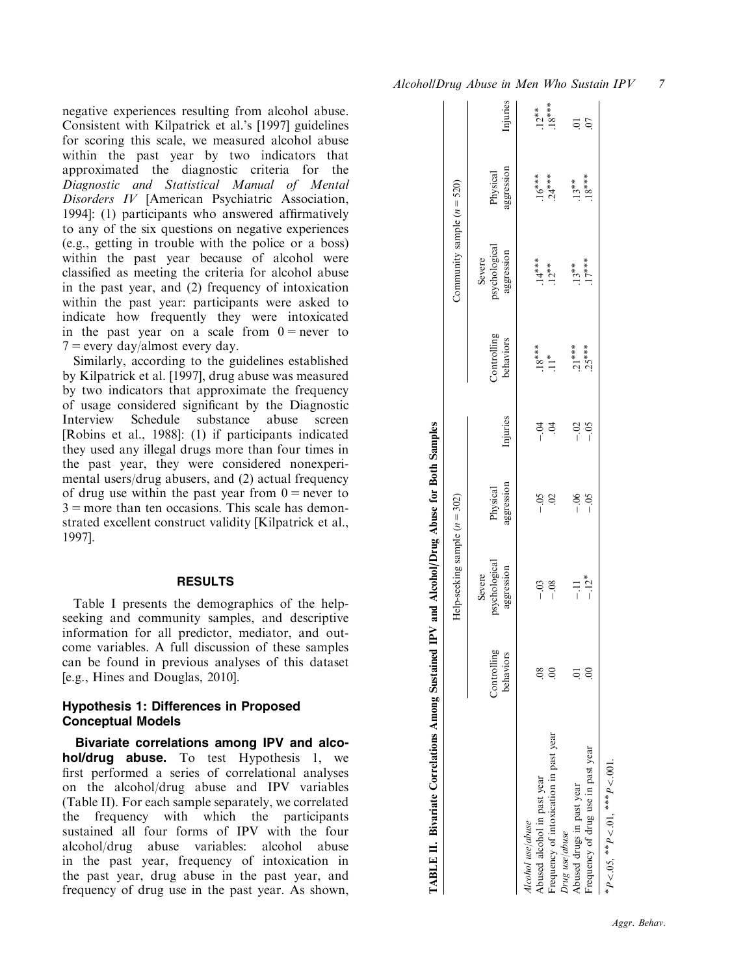negative experiences resulting from alcohol abuse. Consistent with Kilpatrick et al.'s [1997] guidelines for scoring this scale, we measured alcohol abuse within the past year by two indicators that approximated the diagnostic criteria for the Diagnostic and Statistical Manual of Mental Disorders IV [American Psychiatric Association, 1994]: (1) participants who answered affirmatively to any of the six questions on negative experiences (e.g., getting in trouble with the police or a boss) within the past year because of alcohol were classified as meeting the criteria for alcohol abuse in the past year, and (2) frequency of intoxication within the past year: participants were asked to indicate how frequently they were intoxicated in the past year on a scale from  $0 =$  never to  $7 =$  every day/almost every day.

Similarly, according to the guidelines established by Kilpatrick et al. [1997], drug abuse was measured by two indicators that approximate the frequency of usage considered significant by the Diagnostic Interview Schedule substance abuse screen [Robins et al., 1988]: (1) if participants indicated they used any illegal drugs more than four times in the past year, they were considered nonexperimental users/drug abusers, and (2) actual frequency of drug use within the past year from  $0 =$  never to  $3 =$  more than ten occasions. This scale has demonstrated excellent construct validity [Kilpatrick et al., 1997].

#### **RESULTS**

Table I presents the demographics of the helpseeking and community samples, and descriptive information for all predictor, mediator, and outcome variables. A full discussion of these samples can be found in previous analyses of this dataset [e.g., Hines and Douglas, 2010].

## Hypothesis 1: Differences in Proposed Conceptual Models

Bivariate correlations among IPV and alcohol/drug abuse. To test Hypothesis 1, we first performed a series of correlational analyses on the alcohol/drug abuse and IPV variables (Table II). For each sample separately, we correlated the frequency with which the participants sustained all four forms of IPV with the four alcohol/drug abuse variables: alcohol abuse in the past year, frequency of intoxication in the past year, drug abuse in the past year, and frequency of drug use in the past year. As shown,

|                                                          |                          | Help-seeking sample $(n = 302)$       |                        |             |                          | Community sample $(n = 520)$          |                        |                    |
|----------------------------------------------------------|--------------------------|---------------------------------------|------------------------|-------------|--------------------------|---------------------------------------|------------------------|--------------------|
|                                                          | Controlling<br>behaviors | psychological<br>aggression<br>Severe | aggression<br>Physical | Injuries    | Controlling<br>behaviors | Severe<br>psychological<br>aggression | Physical<br>aggression | Injuries           |
| 4lcohol use/abuse                                        |                          |                                       |                        |             |                          |                                       |                        |                    |
| Abused alcohol in past year                              | $\frac{8}{2}$            | $-0.36 - 0.08$                        | $-0.5$                 | $-0.4$      | $.18***$                 | $14***$<br>$12***$                    | $16***$<br>$.24***$    | $12***$<br>$18***$ |
| Frequency of intoxication in past year<br>Drug use/abuse |                          |                                       | $\ddot{\mathrm{S}}$    | $\tilde{q}$ | $\overline{1}$           |                                       |                        |                    |
| Abused drugs in past year                                |                          | $-11$<br>$-12$                        | $-0.06$<br>$-1$        | $-0.02$     | $21***$<br>$25***$       | $.13***$                              | $13***$                | $\overline{5}$     |
| Frequency of drug use in past year                       |                          |                                       |                        |             |                          | $17***$                               | $.18***$               |                    |
|                                                          |                          |                                       |                        |             |                          |                                       |                        |                    |

TABLE II. Bivariate Correlations Among Sustained IPV and Alcohol/Drug Abuse for Both Samples

TABLE II. Bivariate Correlations Among Sustained IPV and Alcohol/Drug Abuse for Both Samples

\*  $P < 0.05$ , \* \*  $P < 0.1$ , \* \* \*  $P < 0.01$ .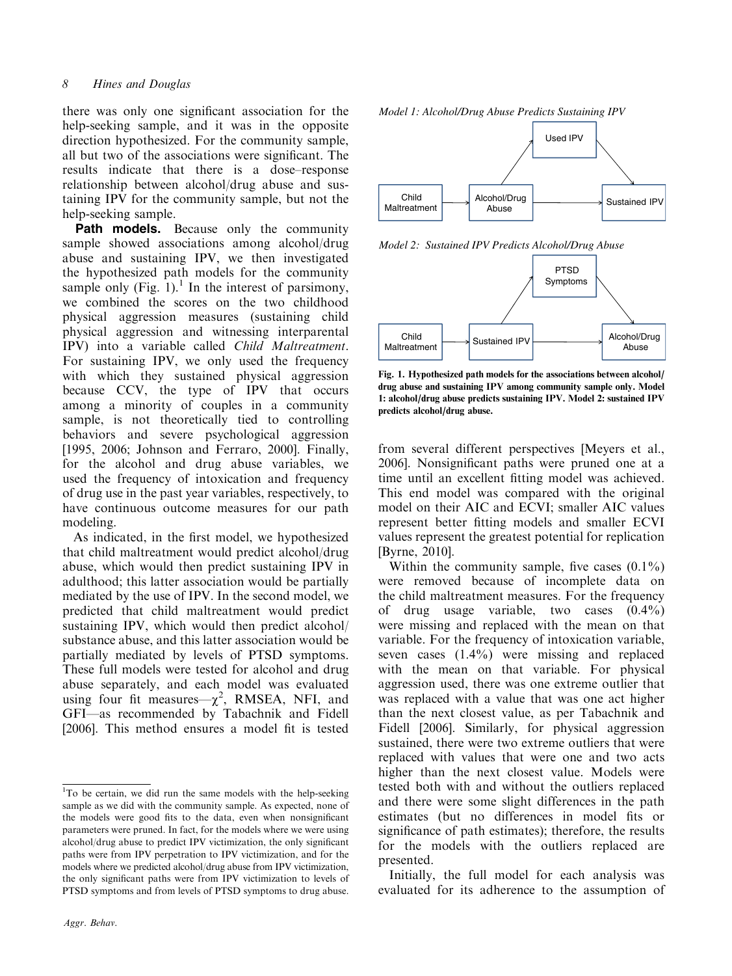there was only one significant association for the help-seeking sample, and it was in the opposite direction hypothesized. For the community sample, all but two of the associations were significant. The results indicate that there is a dose–response relationship between alcohol/drug abuse and sustaining IPV for the community sample, but not the help-seeking sample.

Path models. Because only the community sample showed associations among alcohol/drug abuse and sustaining IPV, we then investigated the hypothesized path models for the community sample only  $(Fig. 1)$ .<sup>1</sup> In the interest of parsimony, we combined the scores on the two childhood physical aggression measures (sustaining child physical aggression and witnessing interparental IPV) into a variable called Child Maltreatment. For sustaining IPV, we only used the frequency with which they sustained physical aggression because CCV, the type of IPV that occurs among a minority of couples in a community sample, is not theoretically tied to controlling behaviors and severe psychological aggression [1995, 2006; Johnson and Ferraro, 2000]. Finally, for the alcohol and drug abuse variables, we used the frequency of intoxication and frequency of drug use in the past year variables, respectively, to have continuous outcome measures for our path modeling.

As indicated, in the first model, we hypothesized that child maltreatment would predict alcohol/drug abuse, which would then predict sustaining IPV in adulthood; this latter association would be partially mediated by the use of IPV. In the second model, we predicted that child maltreatment would predict sustaining IPV, which would then predict alcohol/ substance abuse, and this latter association would be partially mediated by levels of PTSD symptoms. These full models were tested for alcohol and drug abuse separately, and each model was evaluated using four fit measures— $\chi^2$ , RMSEA, NFI, and GFI—as recommended by Tabachnik and Fidell [2006]. This method ensures a model fit is tested





*Model 2: Sustained IPV Predicts Alcohol/Drug Abuse* 



Fig. 1. Hypothesized path models for the associations between alcohol/ drug abuse and sustaining IPV among community sample only. Model 1: alcohol/drug abuse predicts sustaining IPV. Model 2: sustained IPV predicts alcohol/drug abuse.

from several different perspectives [Meyers et al., 2006]. Nonsignificant paths were pruned one at a time until an excellent fitting model was achieved. This end model was compared with the original model on their AIC and ECVI; smaller AIC values represent better fitting models and smaller ECVI values represent the greatest potential for replication [Byrne, 2010].

Within the community sample, five cases  $(0.1\%)$ were removed because of incomplete data on the child maltreatment measures. For the frequency of drug usage variable, two cases (0.4%) were missing and replaced with the mean on that variable. For the frequency of intoxication variable, seven cases (1.4%) were missing and replaced with the mean on that variable. For physical aggression used, there was one extreme outlier that was replaced with a value that was one act higher than the next closest value, as per Tabachnik and Fidell [2006]. Similarly, for physical aggression sustained, there were two extreme outliers that were replaced with values that were one and two acts higher than the next closest value. Models were tested both with and without the outliers replaced and there were some slight differences in the path estimates (but no differences in model fits or significance of path estimates); therefore, the results for the models with the outliers replaced are presented.

Initially, the full model for each analysis was evaluated for its adherence to the assumption of

<sup>&</sup>lt;sup>1</sup>To be certain, we did run the same models with the help-seeking sample as we did with the community sample. As expected, none of the models were good fits to the data, even when nonsignificant parameters were pruned. In fact, for the models where we were using alcohol/drug abuse to predict IPV victimization, the only significant paths were from IPV perpetration to IPV victimization, and for the models where we predicted alcohol/drug abuse from IPV victimization, the only significant paths were from IPV victimization to levels of PTSD symptoms and from levels of PTSD symptoms to drug abuse.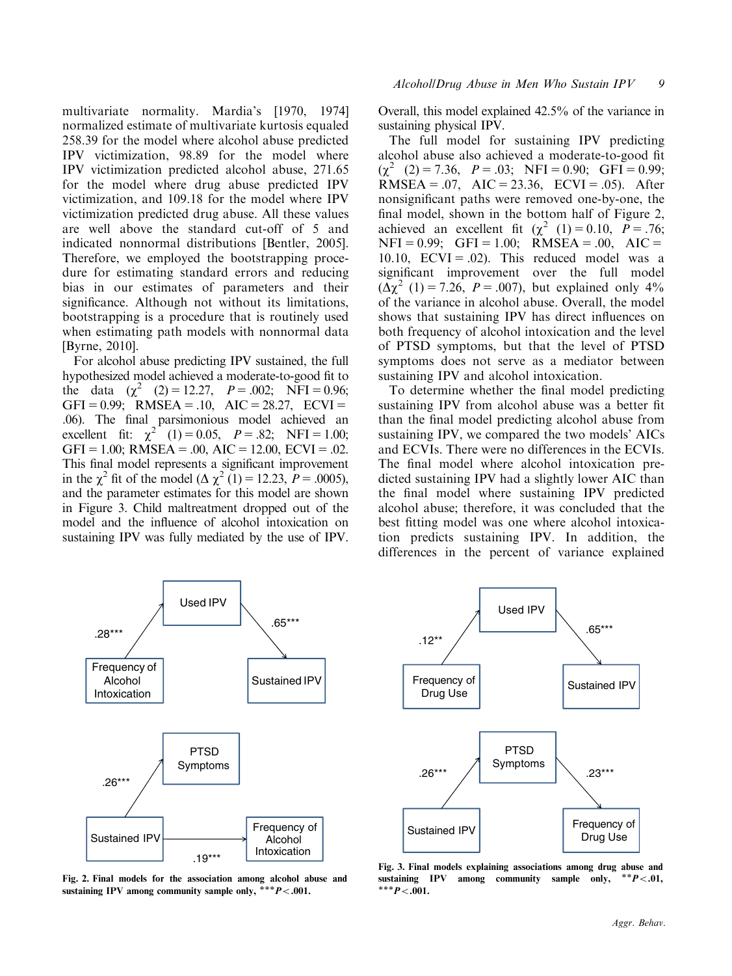multivariate normality. Mardia's [1970, 1974] normalized estimate of multivariate kurtosis equaled 258.39 for the model where alcohol abuse predicted IPV victimization, 98.89 for the model where IPV victimization predicted alcohol abuse, 271.65 for the model where drug abuse predicted IPV victimization, and 109.18 for the model where IPV victimization predicted drug abuse. All these values are well above the standard cut-off of 5 and indicated nonnormal distributions [Bentler, 2005]. Therefore, we employed the bootstrapping procedure for estimating standard errors and reducing bias in our estimates of parameters and their significance. Although not without its limitations, bootstrapping is a procedure that is routinely used when estimating path models with nonnormal data [Byrne, 2010].

For alcohol abuse predicting IPV sustained, the full hypothesized model achieved a moderate-to-good fit to the data  $(\chi^2 \quad (2) = 12.27, \quad P = .002; \quad \text{NFI} = 0.96;$  $GFI = 0.99$ ; RMSEA = .10, AIC = 28.27, ECVI = .06). The final parsimonious model achieved an excellent fit:  $\chi^2$  (1) = 0.05,  $P = .82$ ; NFI = 1.00;  $GFI = 1.00$ ; RMSEA = .00, AIC = 12.00, ECVI = .02. This final model represents a significant improvement in the  $\chi^2$  fit of the model ( $\Delta \chi^2$  (1) = 12.23, P = .0005), and the parameter estimates for this model are shown in Figure 3. Child maltreatment dropped out of the model and the influence of alcohol intoxication on sustaining IPV was fully mediated by the use of IPV. Overall, this model explained 42.5% of the variance in sustaining physical IPV.

The full model for sustaining IPV predicting alcohol abuse also achieved a moderate-to-good fit  $(\chi^2 \quad (2) = 7.36, \quad P = .03; \quad NFI = 0.90; \quad GFI = 0.99;$ RMSEA = .07,  $AIC = 23.36$ ,  $ECVI = .05$ ). After nonsignificant paths were removed one-by-one, the final model, shown in the bottom half of Figure 2, achieved an excellent fit  $(\chi^2 \ (1) = 0.10, P = .76;$  $NFI = 0.99$ ;  $GFI = 1.00$ ;  $RMSEA = .00$ ,  $AIC =$ 10.10,  $ECVI = .02$ ). This reduced model was a significant improvement over the full model  $(\Delta \chi^2 (1) = 7.26, P = .007)$ , but explained only 4% of the variance in alcohol abuse. Overall, the model shows that sustaining IPV has direct influences on both frequency of alcohol intoxication and the level of PTSD symptoms, but that the level of PTSD symptoms does not serve as a mediator between sustaining IPV and alcohol intoxication.

To determine whether the final model predicting sustaining IPV from alcohol abuse was a better fit than the final model predicting alcohol abuse from sustaining IPV, we compared the two models' AICs and ECVIs. There were no differences in the ECVIs. The final model where alcohol intoxication predicted sustaining IPV had a slightly lower AIC than the final model where sustaining IPV predicted alcohol abuse; therefore, it was concluded that the best fitting model was one where alcohol intoxication predicts sustaining IPV. In addition, the differences in the percent of variance explained



Fig. 2. Final models for the association among alcohol abuse and sustaining IPV among community sample only,  $**P<.001$ .



Fig. 3. Final models explaining associations among drug abuse and sustaining IPV among community sample only,  $*P < .01$ ,  $*P < .01$  $*$  $P < 01$  $*$  $P < .001$ .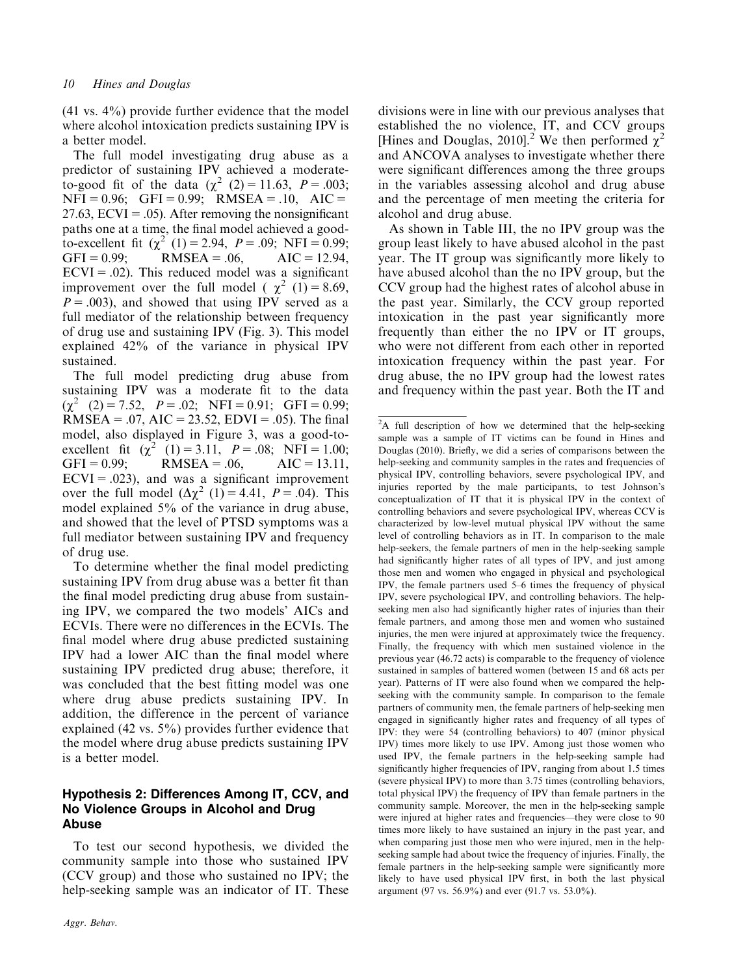(41 vs. 4%) provide further evidence that the model where alcohol intoxication predicts sustaining IPV is a better model.

The full model investigating drug abuse as a predictor of sustaining IPV achieved a moderateto-good fit of the data ( $\chi^2$  (2) = 11.63, P = .003;  $NFI = 0.96$ ;  $GFI = 0.99$ ;  $RMSEA = .10$ ,  $AIC =$ 27.63, ECVI = .05). After removing the nonsignificant paths one at a time, the final model achieved a goodto-excellent fit  $(\chi^2 (1) = 2.94, P = .09; NFI = 0.99;$ GFI =  $0.99$ ; RMSEA =  $.06$ , AIC = 12.94,  $ECVI = .02$ ). This reduced model was a significant improvement over the full model ( $\chi^2$  (1) = 8.69,  $P = .003$ ), and showed that using IPV served as a full mediator of the relationship between frequency of drug use and sustaining IPV (Fig. 3). This model explained 42% of the variance in physical IPV sustained.

The full model predicting drug abuse from sustaining IPV was a moderate fit to the data  $(\chi^2 \quad (2) = 7.52, \quad P = .02; \quad NFI = 0.91; \quad GFI = 0.99;$ RMSEA = .07, AIC = 23.52, EDVI = .05). The final model, also displayed in Figure 3, was a good-toexcellent fit  $(\chi^2 \ (1) = 3.11, P = .08; NFI = 1.00;$ GFI =  $0.99$ ; RMSEA =  $.06$ , AIC = 13.11,  $ECVI = .023$ ), and was a significant improvement over the full model  $(\Delta \chi^2 (1) = 4.41, P = .04)$ . This model explained 5% of the variance in drug abuse, and showed that the level of PTSD symptoms was a full mediator between sustaining IPV and frequency of drug use.

To determine whether the final model predicting sustaining IPV from drug abuse was a better fit than the final model predicting drug abuse from sustaining IPV, we compared the two models' AICs and ECVIs. There were no differences in the ECVIs. The final model where drug abuse predicted sustaining IPV had a lower AIC than the final model where sustaining IPV predicted drug abuse; therefore, it was concluded that the best fitting model was one where drug abuse predicts sustaining IPV. In addition, the difference in the percent of variance explained (42 vs. 5%) provides further evidence that the model where drug abuse predicts sustaining IPV is a better model.

## Hypothesis 2: Differences Among IT, CCV, and No Violence Groups in Alcohol and Drug Abuse

To test our second hypothesis, we divided the community sample into those who sustained IPV (CCV group) and those who sustained no IPV; the help-seeking sample was an indicator of IT. These

divisions were in line with our previous analyses that established the no violence, IT, and CCV groups [Hines and Douglas, 2010].<sup>2</sup> We then performed  $\chi^2$ and ANCOVA analyses to investigate whether there were significant differences among the three groups in the variables assessing alcohol and drug abuse and the percentage of men meeting the criteria for alcohol and drug abuse.

As shown in Table III, the no IPV group was the group least likely to have abused alcohol in the past year. The IT group was significantly more likely to have abused alcohol than the no IPV group, but the CCV group had the highest rates of alcohol abuse in the past year. Similarly, the CCV group reported intoxication in the past year significantly more frequently than either the no IPV or IT groups, who were not different from each other in reported intoxication frequency within the past year. For drug abuse, the no IPV group had the lowest rates and frequency within the past year. Both the IT and

 ${}^{2}$ A full description of how we determined that the help-seeking sample was a sample of IT victims can be found in Hines and Douglas (2010). Briefly, we did a series of comparisons between the help-seeking and community samples in the rates and frequencies of physical IPV, controlling behaviors, severe psychological IPV, and injuries reported by the male participants, to test Johnson's conceptualization of IT that it is physical IPV in the context of controlling behaviors and severe psychological IPV, whereas CCV is characterized by low-level mutual physical IPV without the same level of controlling behaviors as in IT. In comparison to the male help-seekers, the female partners of men in the help-seeking sample had significantly higher rates of all types of IPV, and just among those men and women who engaged in physical and psychological IPV, the female partners used 5–6 times the frequency of physical IPV, severe psychological IPV, and controlling behaviors. The helpseeking men also had significantly higher rates of injuries than their female partners, and among those men and women who sustained injuries, the men were injured at approximately twice the frequency. Finally, the frequency with which men sustained violence in the previous year (46.72 acts) is comparable to the frequency of violence sustained in samples of battered women (between 15 and 68 acts per year). Patterns of IT were also found when we compared the helpseeking with the community sample. In comparison to the female partners of community men, the female partners of help-seeking men engaged in significantly higher rates and frequency of all types of IPV: they were 54 (controlling behaviors) to 407 (minor physical IPV) times more likely to use IPV. Among just those women who used IPV, the female partners in the help-seeking sample had significantly higher frequencies of IPV, ranging from about 1.5 times (severe physical IPV) to more than 3.75 times (controlling behaviors, total physical IPV) the frequency of IPV than female partners in the community sample. Moreover, the men in the help-seeking sample were injured at higher rates and frequencies—they were close to 90 times more likely to have sustained an injury in the past year, and when comparing just those men who were injured, men in the helpseeking sample had about twice the frequency of injuries. Finally, the female partners in the help-seeking sample were significantly more likely to have used physical IPV first, in both the last physical argument (97 vs. 56.9%) and ever (91.7 vs. 53.0%).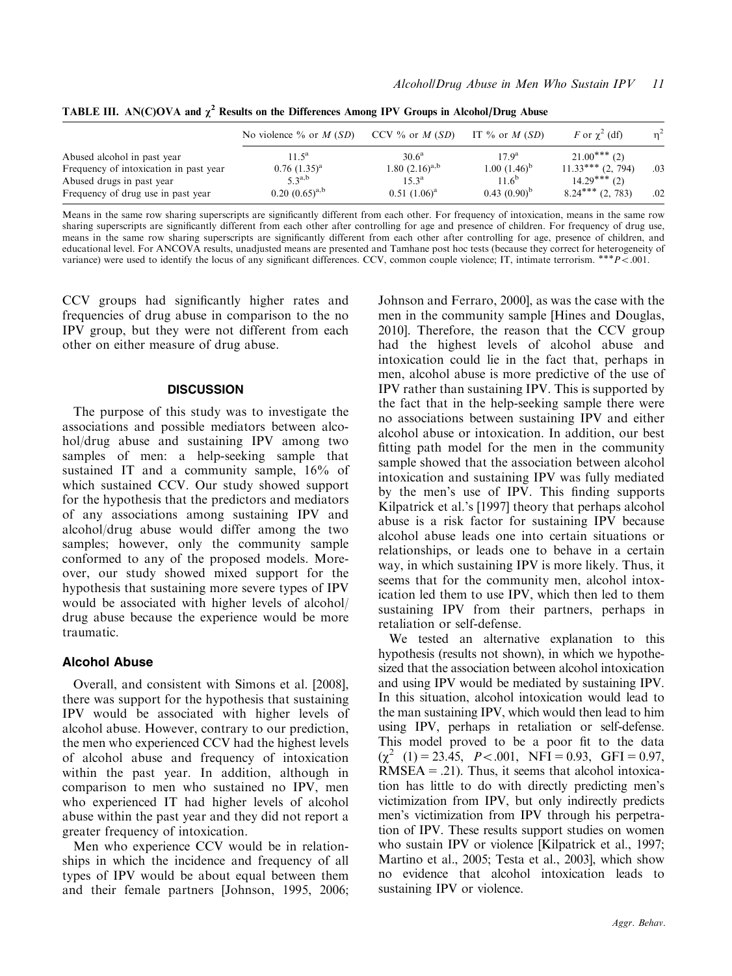|                                        | No violence $\%$ or M (SD) | CCV $\%$ or M (SD)  | IT % or $M(SD)$   | F or $\chi^2$ (df)  | $n^2$ |
|----------------------------------------|----------------------------|---------------------|-------------------|---------------------|-------|
| Abused alcohol in past year            | $11.5^{\rm a}$             | $30.6^{\rm a}$      | 17.9 <sup>a</sup> | $21.00***$ (2)      | .03   |
| Frequency of intoxication in past year | $0.76$ $(1.35)^{a}$        | 1.80 $(2.16)^{a,b}$ | 1.00 $(1.46)^b$   | $11.33***$ (2, 794) |       |
| Abused drugs in past year              | 5.3 <sup>a,b</sup>         | $15.3^{\rm a}$      | $11.6^{b}$        | $14.29***$ (2)      | .02   |
| Frequency of drug use in past year     | $0.20~(0.65)^{a,b}$        | $0.51(1.06)^a$      | $(0.43 (0.90)^b)$ | $8.24***$ (2, 783)  |       |

TABLE III. AN(C)OVA and  $\gamma^2$  Results on the Differences Among IPV Groups in Alcohol/Drug Abuse

Means in the same row sharing superscripts are significantly different from each other. For frequency of intoxication, means in the same row sharing superscripts are significantly different from each other after controlling for age and presence of children. For frequency of drug use, means in the same row sharing superscripts are significantly different from each other after controlling for age, presence of children, and educational level. For ANCOVA results, unadjusted means are presented and Tamhane post hoc tests (because they correct for heterogeneity of variance) were used to identify the locus of any significant differences. CCV, common couple violence; IT, intimate terrorism.  $*$  $*$  $P < .001$ .

CCV groups had significantly higher rates and frequencies of drug abuse in comparison to the no IPV group, but they were not different from each other on either measure of drug abuse.

#### **DISCUSSION**

The purpose of this study was to investigate the associations and possible mediators between alcohol/drug abuse and sustaining IPV among two samples of men: a help-seeking sample that sustained IT and a community sample, 16% of which sustained CCV. Our study showed support for the hypothesis that the predictors and mediators of any associations among sustaining IPV and alcohol/drug abuse would differ among the two samples; however, only the community sample conformed to any of the proposed models. Moreover, our study showed mixed support for the hypothesis that sustaining more severe types of IPV would be associated with higher levels of alcohol/ drug abuse because the experience would be more traumatic.

# Alcohol Abuse

Overall, and consistent with Simons et al. [2008], there was support for the hypothesis that sustaining IPV would be associated with higher levels of alcohol abuse. However, contrary to our prediction, the men who experienced CCV had the highest levels of alcohol abuse and frequency of intoxication within the past year. In addition, although in comparison to men who sustained no IPV, men who experienced IT had higher levels of alcohol abuse within the past year and they did not report a greater frequency of intoxication.

Men who experience CCV would be in relationships in which the incidence and frequency of all types of IPV would be about equal between them and their female partners [Johnson, 1995, 2006; Johnson and Ferraro, 2000], as was the case with the men in the community sample [Hines and Douglas, 2010]. Therefore, the reason that the CCV group had the highest levels of alcohol abuse and intoxication could lie in the fact that, perhaps in men, alcohol abuse is more predictive of the use of IPV rather than sustaining IPV. This is supported by the fact that in the help-seeking sample there were no associations between sustaining IPV and either alcohol abuse or intoxication. In addition, our best fitting path model for the men in the community sample showed that the association between alcohol intoxication and sustaining IPV was fully mediated by the men's use of IPV. This finding supports Kilpatrick et al.'s [1997] theory that perhaps alcohol abuse is a risk factor for sustaining IPV because alcohol abuse leads one into certain situations or relationships, or leads one to behave in a certain way, in which sustaining IPV is more likely. Thus, it seems that for the community men, alcohol intoxication led them to use IPV, which then led to them sustaining IPV from their partners, perhaps in retaliation or self-defense.

We tested an alternative explanation to this hypothesis (results not shown), in which we hypothesized that the association between alcohol intoxication and using IPV would be mediated by sustaining IPV. In this situation, alcohol intoxication would lead to the man sustaining IPV, which would then lead to him using IPV, perhaps in retaliation or self-defense. This model proved to be a poor fit to the data  $(\chi^2 \t(1) = 23.45, P < .001, NFI = 0.93, GFI = 0.97,$  $RMSEA = .21$ ). Thus, it seems that alcohol intoxication has little to do with directly predicting men's victimization from IPV, but only indirectly predicts men's victimization from IPV through his perpetration of IPV. These results support studies on women who sustain IPV or violence [Kilpatrick et al., 1997; Martino et al., 2005; Testa et al., 2003], which show no evidence that alcohol intoxication leads to sustaining IPV or violence.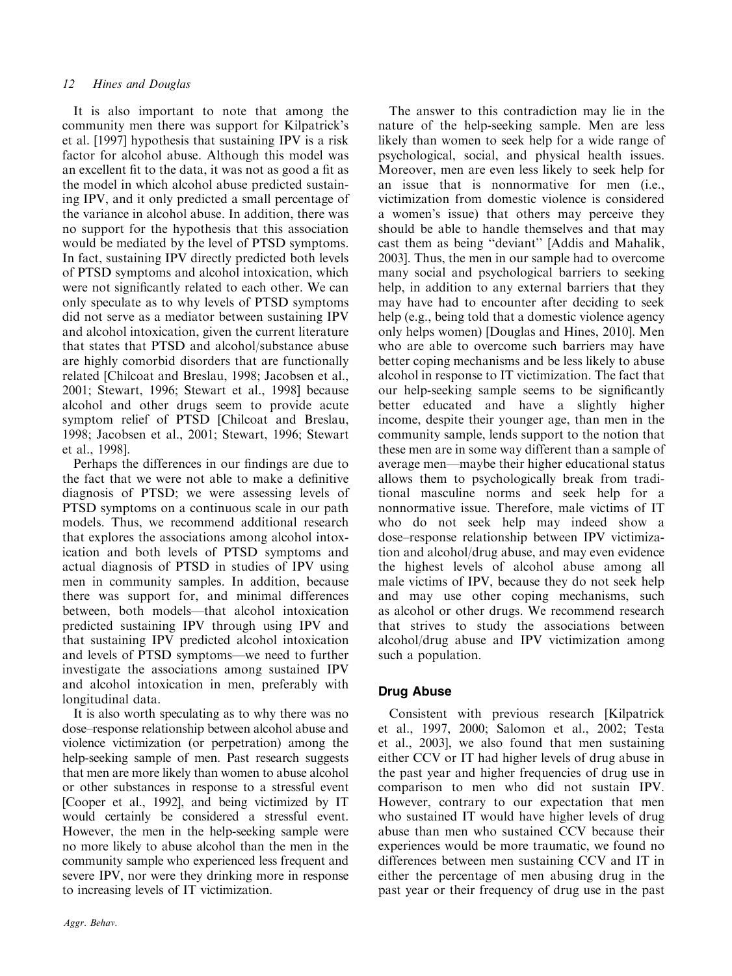# 12 Hines and Douglas

It is also important to note that among the community men there was support for Kilpatrick's et al. [1997] hypothesis that sustaining IPV is a risk factor for alcohol abuse. Although this model was an excellent fit to the data, it was not as good a fit as the model in which alcohol abuse predicted sustaining IPV, and it only predicted a small percentage of the variance in alcohol abuse. In addition, there was no support for the hypothesis that this association would be mediated by the level of PTSD symptoms. In fact, sustaining IPV directly predicted both levels of PTSD symptoms and alcohol intoxication, which were not significantly related to each other. We can only speculate as to why levels of PTSD symptoms did not serve as a mediator between sustaining IPV and alcohol intoxication, given the current literature that states that PTSD and alcohol/substance abuse are highly comorbid disorders that are functionally related [Chilcoat and Breslau, 1998; Jacobsen et al., 2001; Stewart, 1996; Stewart et al., 1998] because alcohol and other drugs seem to provide acute symptom relief of PTSD [Chilcoat and Breslau, 1998; Jacobsen et al., 2001; Stewart, 1996; Stewart et al., 1998].

Perhaps the differences in our findings are due to the fact that we were not able to make a definitive diagnosis of PTSD; we were assessing levels of PTSD symptoms on a continuous scale in our path models. Thus, we recommend additional research that explores the associations among alcohol intoxication and both levels of PTSD symptoms and actual diagnosis of PTSD in studies of IPV using men in community samples. In addition, because there was support for, and minimal differences between, both models—that alcohol intoxication predicted sustaining IPV through using IPV and that sustaining IPV predicted alcohol intoxication and levels of PTSD symptoms—we need to further investigate the associations among sustained IPV and alcohol intoxication in men, preferably with longitudinal data.

It is also worth speculating as to why there was no dose–response relationship between alcohol abuse and violence victimization (or perpetration) among the help-seeking sample of men. Past research suggests that men are more likely than women to abuse alcohol or other substances in response to a stressful event [Cooper et al., 1992], and being victimized by IT would certainly be considered a stressful event. However, the men in the help-seeking sample were no more likely to abuse alcohol than the men in the community sample who experienced less frequent and severe IPV, nor were they drinking more in response to increasing levels of IT victimization.

The answer to this contradiction may lie in the nature of the help-seeking sample. Men are less likely than women to seek help for a wide range of psychological, social, and physical health issues. Moreover, men are even less likely to seek help for an issue that is nonnormative for men (i.e., victimization from domestic violence is considered a women's issue) that others may perceive they should be able to handle themselves and that may cast them as being ''deviant'' [Addis and Mahalik, 2003]. Thus, the men in our sample had to overcome many social and psychological barriers to seeking help, in addition to any external barriers that they may have had to encounter after deciding to seek help (e.g., being told that a domestic violence agency only helps women) [Douglas and Hines, 2010]. Men who are able to overcome such barriers may have better coping mechanisms and be less likely to abuse alcohol in response to IT victimization. The fact that our help-seeking sample seems to be significantly better educated and have a slightly higher income, despite their younger age, than men in the community sample, lends support to the notion that these men are in some way different than a sample of average men—maybe their higher educational status allows them to psychologically break from traditional masculine norms and seek help for a nonnormative issue. Therefore, male victims of IT who do not seek help may indeed show a dose–response relationship between IPV victimization and alcohol/drug abuse, and may even evidence the highest levels of alcohol abuse among all male victims of IPV, because they do not seek help and may use other coping mechanisms, such as alcohol or other drugs. We recommend research that strives to study the associations between alcohol/drug abuse and IPV victimization among such a population.

# Drug Abuse

Consistent with previous research [Kilpatrick et al., 1997, 2000; Salomon et al., 2002; Testa et al., 2003], we also found that men sustaining either CCV or IT had higher levels of drug abuse in the past year and higher frequencies of drug use in comparison to men who did not sustain IPV. However, contrary to our expectation that men who sustained IT would have higher levels of drug abuse than men who sustained CCV because their experiences would be more traumatic, we found no differences between men sustaining CCV and IT in either the percentage of men abusing drug in the past year or their frequency of drug use in the past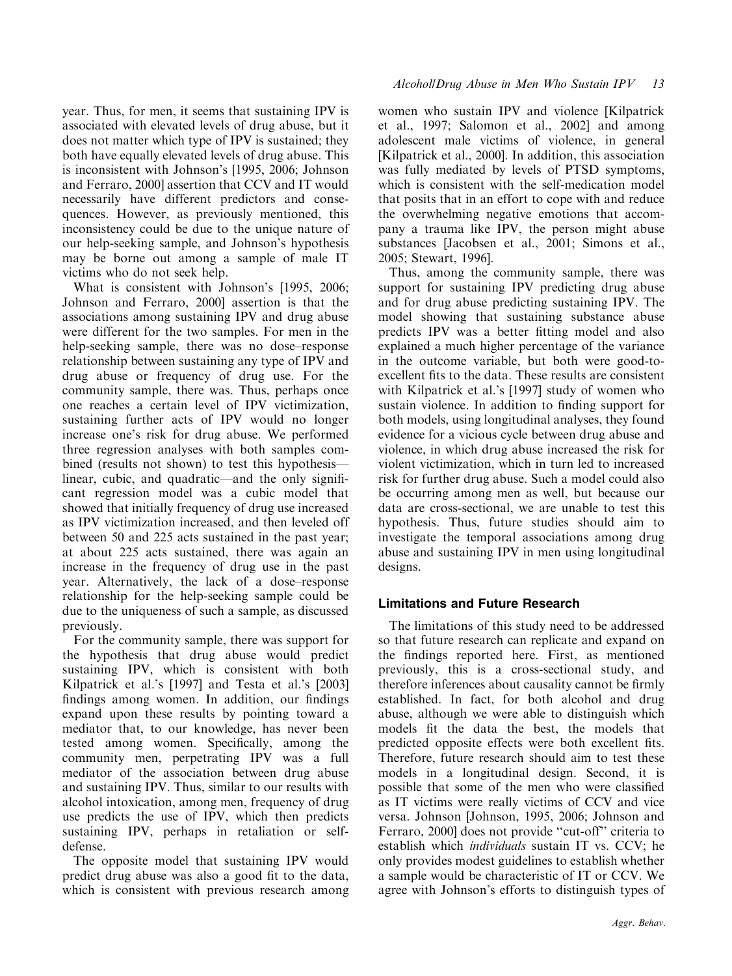year. Thus, for men, it seems that sustaining IPV is associated with elevated levels of drug abuse, but it does not matter which type of IPV is sustained; they both have equally elevated levels of drug abuse. This is inconsistent with Johnson's [1995, 2006; Johnson and Ferraro, 2000] assertion that CCV and IT would necessarily have different predictors and consequences. However, as previously mentioned, this inconsistency could be due to the unique nature of our help-seeking sample, and Johnson's hypothesis may be borne out among a sample of male IT victims who do not seek help.

What is consistent with Johnson's [1995, 2006; Johnson and Ferraro, 2000] assertion is that the associations among sustaining IPV and drug abuse were different for the two samples. For men in the help-seeking sample, there was no dose–response relationship between sustaining any type of IPV and drug abuse or frequency of drug use. For the community sample, there was. Thus, perhaps once one reaches a certain level of IPV victimization, sustaining further acts of IPV would no longer increase one's risk for drug abuse. We performed three regression analyses with both samples combined (results not shown) to test this hypothesis linear, cubic, and quadratic—and the only significant regression model was a cubic model that showed that initially frequency of drug use increased as IPV victimization increased, and then leveled off between 50 and 225 acts sustained in the past year; at about 225 acts sustained, there was again an increase in the frequency of drug use in the past year. Alternatively, the lack of a dose–response relationship for the help-seeking sample could be due to the uniqueness of such a sample, as discussed previously.

For the community sample, there was support for the hypothesis that drug abuse would predict sustaining IPV, which is consistent with both Kilpatrick et al.'s [1997] and Testa et al.'s [2003] findings among women. In addition, our findings expand upon these results by pointing toward a mediator that, to our knowledge, has never been tested among women. Specifically, among the community men, perpetrating IPV was a full mediator of the association between drug abuse and sustaining IPV. Thus, similar to our results with alcohol intoxication, among men, frequency of drug use predicts the use of IPV, which then predicts sustaining IPV, perhaps in retaliation or selfdefense.

The opposite model that sustaining IPV would predict drug abuse was also a good fit to the data, which is consistent with previous research among

# Alcohol/Drug Abuse in Men Who Sustain IPV 13

women who sustain IPV and violence [Kilpatrick et al., 1997; Salomon et al., 2002] and among adolescent male victims of violence, in general [Kilpatrick et al., 2000]. In addition, this association was fully mediated by levels of PTSD symptoms, which is consistent with the self-medication model that posits that in an effort to cope with and reduce the overwhelming negative emotions that accompany a trauma like IPV, the person might abuse substances [Jacobsen et al., 2001; Simons et al., 2005; Stewart, 1996].

Thus, among the community sample, there was support for sustaining IPV predicting drug abuse and for drug abuse predicting sustaining IPV. The model showing that sustaining substance abuse predicts IPV was a better fitting model and also explained a much higher percentage of the variance in the outcome variable, but both were good-toexcellent fits to the data. These results are consistent with Kilpatrick et al.'s [1997] study of women who sustain violence. In addition to finding support for both models, using longitudinal analyses, they found evidence for a vicious cycle between drug abuse and violence, in which drug abuse increased the risk for violent victimization, which in turn led to increased risk for further drug abuse. Such a model could also be occurring among men as well, but because our data are cross-sectional, we are unable to test this hypothesis. Thus, future studies should aim to investigate the temporal associations among drug abuse and sustaining IPV in men using longitudinal designs.

# Limitations and Future Research

The limitations of this study need to be addressed so that future research can replicate and expand on the findings reported here. First, as mentioned previously, this is a cross-sectional study, and therefore inferences about causality cannot be firmly established. In fact, for both alcohol and drug abuse, although we were able to distinguish which models fit the data the best, the models that predicted opposite effects were both excellent fits. Therefore, future research should aim to test these models in a longitudinal design. Second, it is possible that some of the men who were classified as IT victims were really victims of CCV and vice versa. Johnson [Johnson, 1995, 2006; Johnson and Ferraro, 2000] does not provide ''cut-off'' criteria to establish which individuals sustain IT vs. CCV; he only provides modest guidelines to establish whether a sample would be characteristic of IT or CCV. We agree with Johnson's efforts to distinguish types of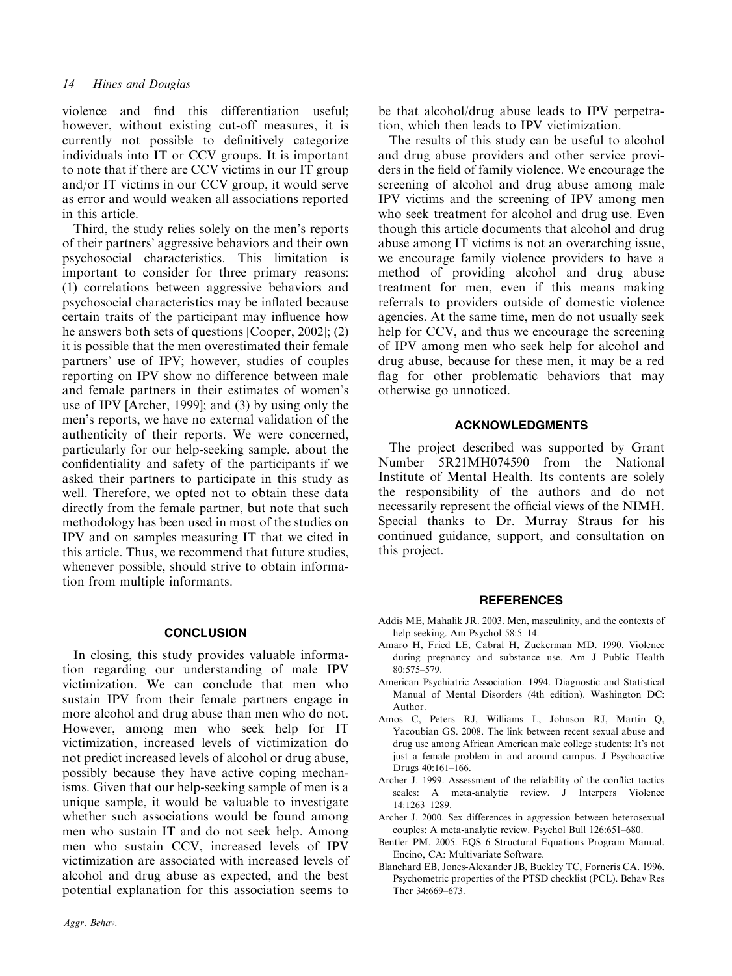violence and find this differentiation useful; however, without existing cut-off measures, it is currently not possible to definitively categorize individuals into IT or CCV groups. It is important to note that if there are CCV victims in our IT group and/or IT victims in our CCV group, it would serve as error and would weaken all associations reported in this article.

Third, the study relies solely on the men's reports of their partners' aggressive behaviors and their own psychosocial characteristics. This limitation is important to consider for three primary reasons: (1) correlations between aggressive behaviors and psychosocial characteristics may be inflated because certain traits of the participant may influence how he answers both sets of questions [Cooper, 2002]; (2) it is possible that the men overestimated their female partners' use of IPV; however, studies of couples reporting on IPV show no difference between male and female partners in their estimates of women's use of IPV [Archer, 1999]; and (3) by using only the men's reports, we have no external validation of the authenticity of their reports. We were concerned, particularly for our help-seeking sample, about the confidentiality and safety of the participants if we asked their partners to participate in this study as well. Therefore, we opted not to obtain these data directly from the female partner, but note that such methodology has been used in most of the studies on IPV and on samples measuring IT that we cited in this article. Thus, we recommend that future studies, whenever possible, should strive to obtain information from multiple informants.

#### **CONCLUSION**

In closing, this study provides valuable information regarding our understanding of male IPV victimization. We can conclude that men who sustain IPV from their female partners engage in more alcohol and drug abuse than men who do not. However, among men who seek help for IT victimization, increased levels of victimization do not predict increased levels of alcohol or drug abuse, possibly because they have active coping mechanisms. Given that our help-seeking sample of men is a unique sample, it would be valuable to investigate whether such associations would be found among men who sustain IT and do not seek help. Among men who sustain CCV, increased levels of IPV victimization are associated with increased levels of alcohol and drug abuse as expected, and the best potential explanation for this association seems to be that alcohol/drug abuse leads to IPV perpetration, which then leads to IPV victimization.

The results of this study can be useful to alcohol and drug abuse providers and other service providers in the field of family violence. We encourage the screening of alcohol and drug abuse among male IPV victims and the screening of IPV among men who seek treatment for alcohol and drug use. Even though this article documents that alcohol and drug abuse among IT victims is not an overarching issue, we encourage family violence providers to have a method of providing alcohol and drug abuse treatment for men, even if this means making referrals to providers outside of domestic violence agencies. At the same time, men do not usually seek help for CCV, and thus we encourage the screening of IPV among men who seek help for alcohol and drug abuse, because for these men, it may be a red flag for other problematic behaviors that may otherwise go unnoticed.

#### ACKNOWLEDGMENTS

The project described was supported by Grant Number 5R21MH074590 from the National Institute of Mental Health. Its contents are solely the responsibility of the authors and do not necessarily represent the official views of the NIMH. Special thanks to Dr. Murray Straus for his continued guidance, support, and consultation on this project.

#### **REFERENCES**

- Addis ME, Mahalik JR. 2003. Men, masculinity, and the contexts of help seeking. Am Psychol 58:5–14.
- Amaro H, Fried LE, Cabral H, Zuckerman MD. 1990. Violence during pregnancy and substance use. Am J Public Health 80:575–579.
- American Psychiatric Association. 1994. Diagnostic and Statistical Manual of Mental Disorders (4th edition). Washington DC: Author.
- Amos C, Peters RJ, Williams L, Johnson RJ, Martin Q, Yacoubian GS. 2008. The link between recent sexual abuse and drug use among African American male college students: It's not just a female problem in and around campus. J Psychoactive Drugs 40:161–166.
- Archer J. 1999. Assessment of the reliability of the conflict tactics scales: A meta-analytic review. J Interpers Violence 14:1263–1289.
- Archer J. 2000. Sex differences in aggression between heterosexual couples: A meta-analytic review. Psychol Bull 126:651–680.
- Bentler PM. 2005. EQS 6 Structural Equations Program Manual. Encino, CA: Multivariate Software.
- Blanchard EB, Jones-Alexander JB, Buckley TC, Forneris CA. 1996. Psychometric properties of the PTSD checklist (PCL). Behav Res Ther 34:669–673.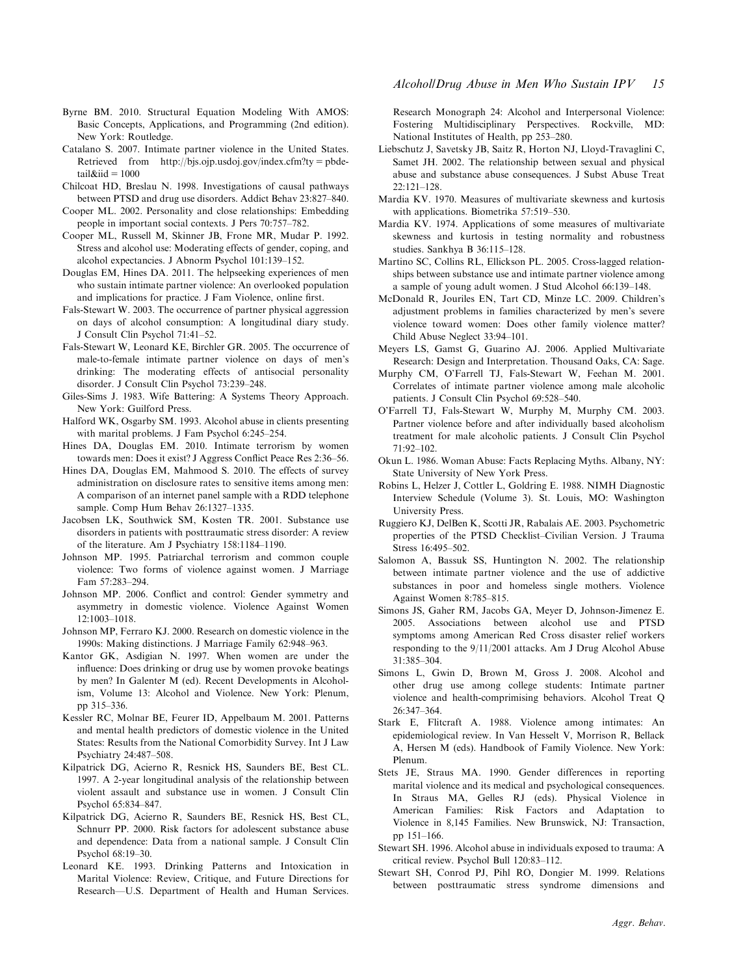- Byrne BM. 2010. Structural Equation Modeling With AMOS: Basic Concepts, Applications, and Programming (2nd edition). New York: Routledge.
- Catalano S. 2007. Intimate partner violence in the United States. Retrieved from http://bjs.ojp.usdoj.gov/index.cfm?ty = pbde $tail\&i = 1000$
- Chilcoat HD, Breslau N. 1998. Investigations of causal pathways between PTSD and drug use disorders. Addict Behav 23:827–840.
- Cooper ML. 2002. Personality and close relationships: Embedding people in important social contexts. J Pers 70:757–782.
- Cooper ML, Russell M, Skinner JB, Frone MR, Mudar P. 1992. Stress and alcohol use: Moderating effects of gender, coping, and alcohol expectancies. J Abnorm Psychol 101:139–152.
- Douglas EM, Hines DA. 2011. The helpseeking experiences of men who sustain intimate partner violence: An overlooked population and implications for practice. J Fam Violence, online first.
- Fals-Stewart W. 2003. The occurrence of partner physical aggression on days of alcohol consumption: A longitudinal diary study. J Consult Clin Psychol 71:41–52.
- Fals-Stewart W, Leonard KE, Birchler GR. 2005. The occurrence of male-to-female intimate partner violence on days of men's drinking: The moderating effects of antisocial personality disorder. J Consult Clin Psychol 73:239–248.
- Giles-Sims J. 1983. Wife Battering: A Systems Theory Approach. New York: Guilford Press.
- Halford WK, Osgarby SM. 1993. Alcohol abuse in clients presenting with marital problems. J Fam Psychol 6:245–254.
- Hines DA, Douglas EM. 2010. Intimate terrorism by women towards men: Does it exist? J Aggress Conflict Peace Res 2:36–56.
- Hines DA, Douglas EM, Mahmood S. 2010. The effects of survey administration on disclosure rates to sensitive items among men: A comparison of an internet panel sample with a RDD telephone sample. Comp Hum Behav 26:1327–1335.
- Jacobsen LK, Southwick SM, Kosten TR. 2001. Substance use disorders in patients with posttraumatic stress disorder: A review of the literature. Am J Psychiatry 158:1184–1190.
- Johnson MP. 1995. Patriarchal terrorism and common couple violence: Two forms of violence against women. J Marriage Fam 57:283–294.
- Johnson MP. 2006. Conflict and control: Gender symmetry and asymmetry in domestic violence. Violence Against Women 12:1003–1018.
- Johnson MP, Ferraro KJ. 2000. Research on domestic violence in the 1990s: Making distinctions. J Marriage Family 62:948–963.
- Kantor GK, Asdigian N. 1997. When women are under the influence: Does drinking or drug use by women provoke beatings by men? In Galenter M (ed). Recent Developments in Alcoholism, Volume 13: Alcohol and Violence. New York: Plenum, pp 315–336.
- Kessler RC, Molnar BE, Feurer ID, Appelbaum M. 2001. Patterns and mental health predictors of domestic violence in the United States: Results from the National Comorbidity Survey. Int J Law Psychiatry 24:487–508.
- Kilpatrick DG, Acierno R, Resnick HS, Saunders BE, Best CL. 1997. A 2-year longitudinal analysis of the relationship between violent assault and substance use in women. J Consult Clin Psychol 65:834–847.
- Kilpatrick DG, Acierno R, Saunders BE, Resnick HS, Best CL, Schnurr PP. 2000. Risk factors for adolescent substance abuse and dependence: Data from a national sample. J Consult Clin Psychol 68:19–30.
- Leonard KE. 1993. Drinking Patterns and Intoxication in Marital Violence: Review, Critique, and Future Directions for Research—U.S. Department of Health and Human Services.

Research Monograph 24: Alcohol and Interpersonal Violence: Fostering Multidisciplinary Perspectives. Rockville, MD: National Institutes of Health, pp 253–280.

- Liebschutz J, Savetsky JB, Saitz R, Horton NJ, Lloyd-Travaglini C, Samet JH. 2002. The relationship between sexual and physical abuse and substance abuse consequences. J Subst Abuse Treat 22:121–128.
- Mardia KV. 1970. Measures of multivariate skewness and kurtosis with applications. Biometrika 57:519–530.
- Mardia KV. 1974. Applications of some measures of multivariate skewness and kurtosis in testing normality and robustness studies. Sankhya B 36:115–128.
- Martino SC, Collins RL, Ellickson PL. 2005. Cross-lagged relationships between substance use and intimate partner violence among a sample of young adult women. J Stud Alcohol 66:139–148.
- McDonald R, Jouriles EN, Tart CD, Minze LC. 2009. Children's adjustment problems in families characterized by men's severe violence toward women: Does other family violence matter? Child Abuse Neglect 33:94–101.
- Meyers LS, Gamst G, Guarino AJ. 2006. Applied Multivariate Research: Design and Interpretation. Thousand Oaks, CA: Sage.
- Murphy CM, O'Farrell TJ, Fals-Stewart W, Feehan M. 2001. Correlates of intimate partner violence among male alcoholic patients. J Consult Clin Psychol 69:528–540.
- O'Farrell TJ, Fals-Stewart W, Murphy M, Murphy CM. 2003. Partner violence before and after individually based alcoholism treatment for male alcoholic patients. J Consult Clin Psychol 71:92–102.
- Okun L. 1986. Woman Abuse: Facts Replacing Myths. Albany, NY: State University of New York Press.
- Robins L, Helzer J, Cottler L, Goldring E. 1988. NIMH Diagnostic Interview Schedule (Volume 3). St. Louis, MO: Washington University Press.
- Ruggiero KJ, DelBen K, Scotti JR, Rabalais AE. 2003. Psychometric properties of the PTSD Checklist–Civilian Version. J Trauma Stress 16:495–502.
- Salomon A, Bassuk SS, Huntington N. 2002. The relationship between intimate partner violence and the use of addictive substances in poor and homeless single mothers. Violence Against Women 8:785–815.
- Simons JS, Gaher RM, Jacobs GA, Meyer D, Johnson-Jimenez E. 2005. Associations between alcohol use and PTSD symptoms among American Red Cross disaster relief workers responding to the 9/11/2001 attacks. Am J Drug Alcohol Abuse 31:385–304.
- Simons L, Gwin D, Brown M, Gross J. 2008. Alcohol and other drug use among college students: Intimate partner violence and health-comprimising behaviors. Alcohol Treat Q 26:347–364.
- Stark E, Flitcraft A. 1988. Violence among intimates: An epidemiological review. In Van Hesselt V, Morrison R, Bellack A, Hersen M (eds). Handbook of Family Violence. New York: Plenum.
- Stets JE, Straus MA. 1990. Gender differences in reporting marital violence and its medical and psychological consequences. In Straus MA, Gelles RJ (eds). Physical Violence in American Families: Risk Factors and Adaptation to Violence in 8,145 Families. New Brunswick, NJ: Transaction, pp 151–166.
- Stewart SH. 1996. Alcohol abuse in individuals exposed to trauma: A critical review. Psychol Bull 120:83–112.
- Stewart SH, Conrod PJ, Pihl RO, Dongier M. 1999. Relations between posttraumatic stress syndrome dimensions and